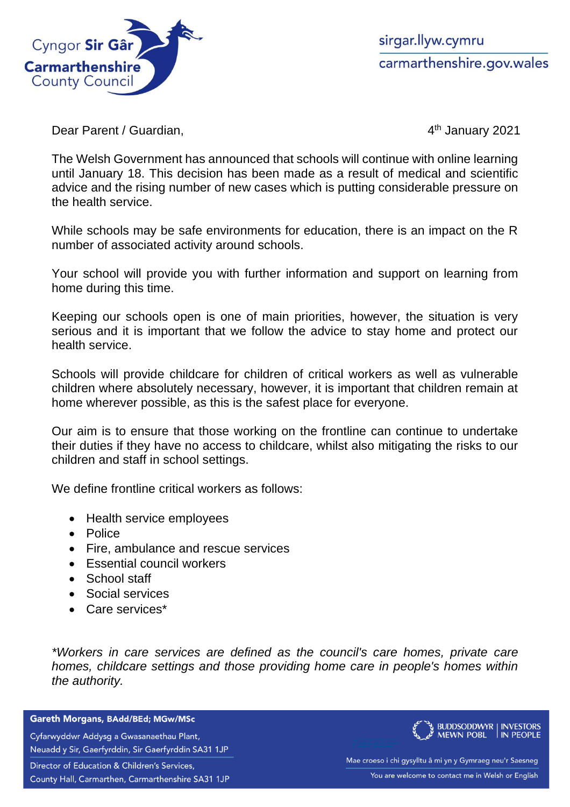

sirgar.llyw.cymru carmarthenshire.gov.wales

Dear Parent / Guardian,

4<sup>th</sup> January 2021

The Welsh Government has announced that schools will continue with online learning until January 18. This decision has been made as a result of medical and scientific advice and the rising number of new cases which is putting considerable pressure on the health service.

While schools may be safe environments for education, there is an impact on the R number of associated activity around schools.

Your school will provide you with further information and support on learning from home during this time.

Keeping our schools open is one of main priorities, however, the situation is very serious and it is important that we follow the advice to stay home and protect our health service.

Schools will provide childcare for children of critical workers as well as vulnerable children where absolutely necessary, however, it is important that children remain at home wherever possible, as this is the safest place for everyone.

Our aim is to ensure that those working on the frontline can continue to undertake their duties if they have no access to childcare, whilst also mitigating the risks to our children and staff in school settings.

We define frontline critical workers as follows:

- Health service employees
- Police
- Fire, ambulance and rescue services
- Essential council workers
- School staff
- Social services
- Care services\*

*\*Workers in care services are defined as the council's care homes, private care homes, childcare settings and those providing home care in people's homes within the authority.*

Gareth Morgans, BAdd/BEd; MGw/MSc

Cyfarwyddwr Addysg a Gwasanaethau Plant, Neuadd y Sir, Gaerfyrddin, Sir Gaerfyrddin SA31 1JP

Director of Education & Children's Services,

County Hall, Carmarthen, Carmarthenshire SA31 1JP



Mae croeso i chi gysylltu â mi yn y Gymraeg neu'r Saesneg You are welcome to contact me in Welsh or English